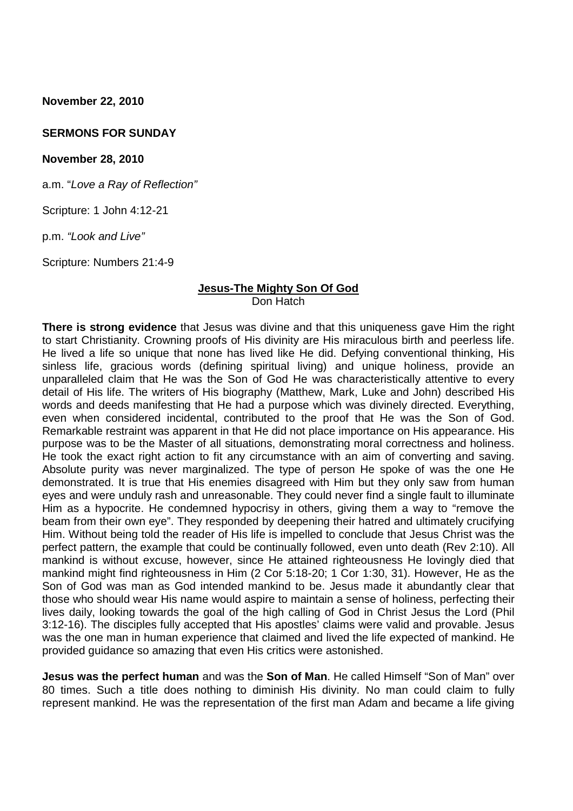**November 22, 2010**

#### **SERMONS FOR SUNDAY**

#### **November 28, 2010**

a.m. "*Love a Ray of Reflection"*

Scripture: 1 John 4:12-21

p.m. *"Look and Live"*

Scripture: Numbers 21:4-9

#### **Jesus-The Mighty Son Of God** Don Hatch

**There is strong evidence** that Jesus was divine and that this uniqueness gave Him the right to start Christianity. Crowning proofs of His divinity are His miraculous birth and peerless life. He lived a life so unique that none has lived like He did. Defying conventional thinking, His sinless life, gracious words (defining spiritual living) and unique holiness, provide an unparalleled claim that He was the Son of God He was characteristically attentive to every detail of His life. The writers of His biography (Matthew, Mark, Luke and John) described His words and deeds manifesting that He had a purpose which was divinely directed. Everything, even when considered incidental, contributed to the proof that He was the Son of God. Remarkable restraint was apparent in that He did not place importance on His appearance. His purpose was to be the Master of all situations, demonstrating moral correctness and holiness. He took the exact right action to fit any circumstance with an aim of converting and saving. Absolute purity was never marginalized. The type of person He spoke of was the one He demonstrated. It is true that His enemies disagreed with Him but they only saw from human eyes and were unduly rash and unreasonable. They could never find a single fault to illuminate Him as a hypocrite. He condemned hypocrisy in others, giving them a way to "remove the beam from their own eye". They responded by deepening their hatred and ultimately crucifying Him. Without being told the reader of His life is impelled to conclude that Jesus Christ was the perfect pattern, the example that could be continually followed, even unto death (Rev 2:10). All mankind is without excuse, however, since He attained righteousness He lovingly died that mankind might find righteousness in Him (2 Cor 5:18-20; 1 Cor 1:30, 31). However, He as the Son of God was man as God intended mankind to be. Jesus made it abundantly clear that those who should wear His name would aspire to maintain a sense of holiness, perfecting their lives daily, looking towards the goal of the high calling of God in Christ Jesus the Lord (Phil 3:12-16). The disciples fully accepted that His apostles' claims were valid and provable. Jesus was the one man in human experience that claimed and lived the life expected of mankind. He provided guidance so amazing that even His critics were astonished.

**Jesus was the perfect human** and was the **Son of Man**. He called Himself "Son of Man" over 80 times. Such a title does nothing to diminish His divinity. No man could claim to fully represent mankind. He was the representation of the first man Adam and became a life giving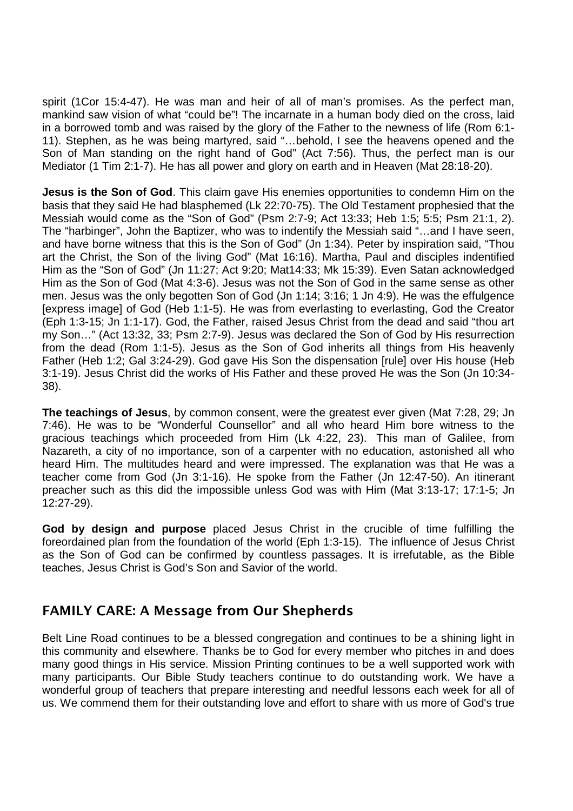spirit (1Cor 15:4-47). He was man and heir of all of man's promises. As the perfect man, mankind saw vision of what "could be"! The incarnate in a human body died on the cross, laid in a borrowed tomb and was raised by the glory of the Father to the newness of life (Rom 6:1- 11). Stephen, as he was being martyred, said "…behold, I see the heavens opened and the Son of Man standing on the right hand of God" (Act 7:56). Thus, the perfect man is our Mediator (1 Tim 2:1-7). He has all power and glory on earth and in Heaven (Mat 28:18-20).

**Jesus is the Son of God.** This claim gave His enemies opportunities to condemn Him on the basis that they said He had blasphemed (Lk 22:70-75). The Old Testament prophesied that the Messiah would come as the "Son of God" (Psm 2:7-9; Act 13:33; Heb 1:5; 5:5; Psm 21:1, 2). The "harbinger", John the Baptizer, who was to indentify the Messiah said "…and I have seen, and have borne witness that this is the Son of God" (Jn 1:34). Peter by inspiration said, "Thou art the Christ, the Son of the living God" (Mat 16:16). Martha, Paul and disciples indentified Him as the "Son of God" (Jn 11:27; Act 9:20; Mat14:33; Mk 15:39). Even Satan acknowledged Him as the Son of God (Mat 4:3-6). Jesus was not the Son of God in the same sense as other men. Jesus was the only begotten Son of God (Jn 1:14; 3:16; 1 Jn 4:9). He was the effulgence [express image] of God (Heb 1:1-5). He was from everlasting to everlasting, God the Creator (Eph 1:3-15; Jn 1:1-17). God, the Father, raised Jesus Christ from the dead and said "thou art my Son…" (Act 13:32, 33; Psm 2:7-9). Jesus was declared the Son of God by His resurrection from the dead (Rom 1:1-5). Jesus as the Son of God inherits all things from His heavenly Father (Heb 1:2; Gal 3:24-29). God gave His Son the dispensation [rule] over His house (Heb 3:1-19). Jesus Christ did the works of His Father and these proved He was the Son (Jn 10:34- 38).

**The teachings of Jesus**, by common consent, were the greatest ever given (Mat 7:28, 29; Jn 7:46). He was to be "Wonderful Counsellor" and all who heard Him bore witness to the gracious teachings which proceeded from Him (Lk 4:22, 23). This man of Galilee, from Nazareth, a city of no importance, son of a carpenter with no education, astonished all who heard Him. The multitudes heard and were impressed. The explanation was that He was a teacher come from God (Jn 3:1-16). He spoke from the Father (Jn 12:47-50). An itinerant preacher such as this did the impossible unless God was with Him (Mat 3:13-17; 17:1-5; Jn 12:27-29).

**God by design and purpose** placed Jesus Christ in the crucible of time fulfilling the foreordained plan from the foundation of the world (Eph 1:3-15). The influence of Jesus Christ as the Son of God can be confirmed by countless passages. It is irrefutable, as the Bible teaches, Jesus Christ is God's Son and Savior of the world.

# **FAMILY CARE: A Message from Our Shepherds**

Belt Line Road continues to be a blessed congregation and continues to be a shining light in this community and elsewhere. Thanks be to God for every member who pitches in and does many good things in His service. Mission Printing continues to be a well supported work with many participants. Our Bible Study teachers continue to do outstanding work. We have a wonderful group of teachers that prepare interesting and needful lessons each week for all of us. We commend them for their outstanding love and effort to share with us more of God's true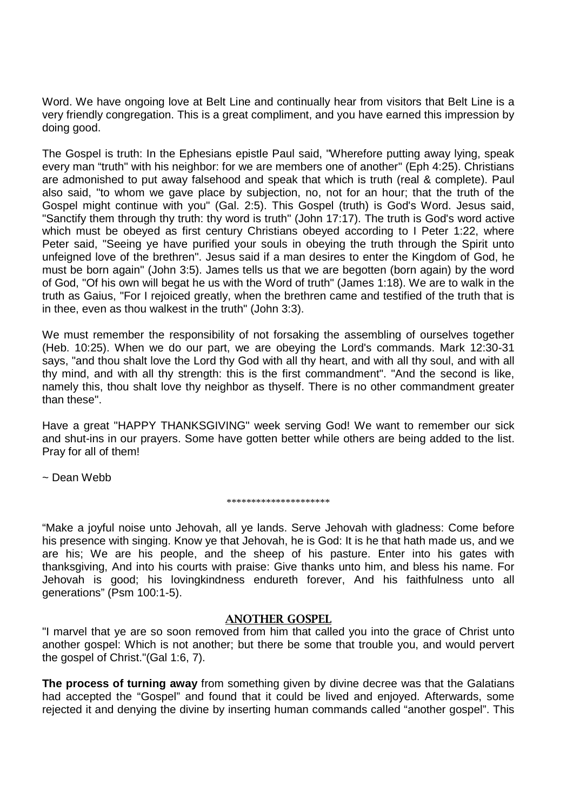Word. We have ongoing love at Belt Line and continually hear from visitors that Belt Line is a very friendly congregation. This is a great compliment, and you have earned this impression by doing good.

The Gospel is truth: In the Ephesians epistle Paul said, "Wherefore putting away lying, speak every man "truth" with his neighbor: for we are members one of another" (Eph 4:25). Christians are admonished to put away falsehood and speak that which is truth (real & complete). Paul also said, "to whom we gave place by subjection, no, not for an hour; that the truth of the Gospel might continue with you" (Gal. 2:5). This Gospel (truth) is God's Word. Jesus said, "Sanctify them through thy truth: thy word is truth" (John 17:17). The truth is God's word active which must be obeyed as first century Christians obeyed according to I Peter 1:22, where Peter said, "Seeing ye have purified your souls in obeying the truth through the Spirit unto unfeigned love of the brethren". Jesus said if a man desires to enter the Kingdom of God, he must be born again" (John 3:5). James tells us that we are begotten (born again) by the word of God, "Of his own will begat he us with the Word of truth" (James 1:18). We are to walk in the truth as Gaius, "For I rejoiced greatly, when the brethren came and testified of the truth that is in thee, even as thou walkest in the truth" (John 3:3).

We must remember the responsibility of not forsaking the assembling of ourselves together (Heb. 10:25). When we do our part, we are obeying the Lord's commands. Mark 12:30-31 says, "and thou shalt love the Lord thy God with all thy heart, and with all thy soul, and with all thy mind, and with all thy strength: this is the first commandment". "And the second is like, namely this, thou shalt love thy neighbor as thyself. There is no other commandment greater than these".

Have a great "HAPPY THANKSGIVING" week serving God! We want to remember our sick and shut-ins in our prayers. Some have gotten better while others are being added to the list. Pray for all of them!

~ Dean Webb

#### \*\*\*\*\*\*\*\*\*\*\*\*\*\*\*\*\*\*\*\*\*

"Make a joyful noise unto Jehovah, all ye lands. Serve Jehovah with gladness: Come before his presence with singing. Know ye that Jehovah, he is God: It is he that hath made us, and we are his; We are his people, and the sheep of his pasture. Enter into his gates with thanksgiving, And into his courts with praise: Give thanks unto him, and bless his name. For Jehovah is good; his lovingkindness endureth forever, And his faithfulness unto all generations" (Psm 100:1-5).

#### **ANOTHER GOSPEL**

"I marvel that ye are so soon removed from him that called you into the grace of Christ unto another gospel: Which is not another; but there be some that trouble you, and would pervert the gospel of Christ."(Gal 1:6, 7).

**The process of turning away** from something given by divine decree was that the Galatians had accepted the "Gospel" and found that it could be lived and enjoyed. Afterwards, some rejected it and denying the divine by inserting human commands called "another gospel". This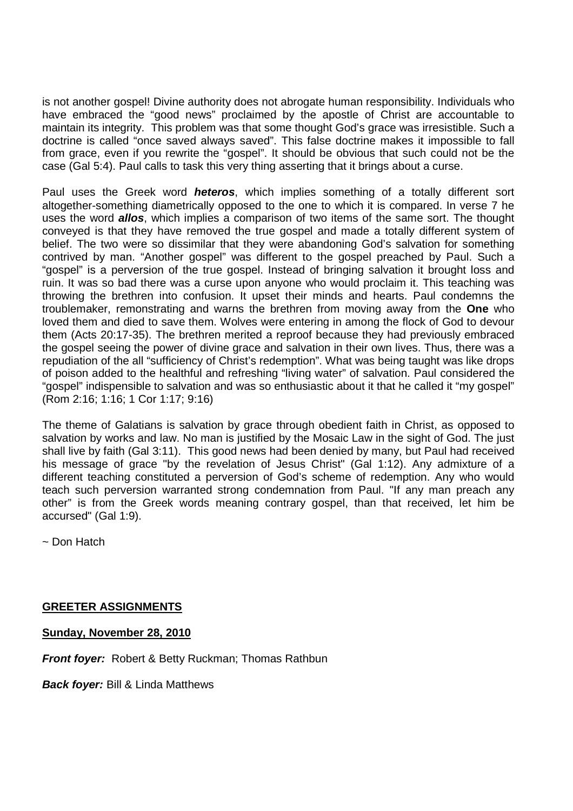is not another gospel! Divine authority does not abrogate human responsibility. Individuals who have embraced the "good news" proclaimed by the apostle of Christ are accountable to maintain its integrity. This problem was that some thought God's grace was irresistible. Such a doctrine is called "once saved always saved". This false doctrine makes it impossible to fall from grace, even if you rewrite the "gospel". It should be obvious that such could not be the case (Gal 5:4). Paul calls to task this very thing asserting that it brings about a curse.

Paul uses the Greek word *heteros*, which implies something of a totally different sort altogether-something diametrically opposed to the one to which it is compared. In verse 7 he uses the word *allos*, which implies a comparison of two items of the same sort. The thought conveyed is that they have removed the true gospel and made a totally different system of belief. The two were so dissimilar that they were abandoning God's salvation for something contrived by man. "Another gospel" was different to the gospel preached by Paul. Such a "gospel" is a perversion of the true gospel. Instead of bringing salvation it brought loss and ruin. It was so bad there was a curse upon anyone who would proclaim it. This teaching was throwing the brethren into confusion. It upset their minds and hearts. Paul condemns the troublemaker, remonstrating and warns the brethren from moving away from the **One** who loved them and died to save them. Wolves were entering in among the flock of God to devour them (Acts 20:17-35). The brethren merited a reproof because they had previously embraced the gospel seeing the power of divine grace and salvation in their own lives. Thus, there was a repudiation of the all "sufficiency of Christ's redemption". What was being taught was like drops of poison added to the healthful and refreshing "living water" of salvation. Paul considered the "gospel" indispensible to salvation and was so enthusiastic about it that he called it "my gospel" (Rom 2:16; 1:16; 1 Cor 1:17; 9:16)

The theme of Galatians is salvation by grace through obedient faith in Christ, as opposed to salvation by works and law. No man is justified by the Mosaic Law in the sight of God. The just shall live by faith (Gal 3:11). This good news had been denied by many, but Paul had received his message of grace "by the revelation of Jesus Christ" (Gal 1:12). Any admixture of a different teaching constituted a perversion of God's scheme of redemption. Any who would teach such perversion warranted strong condemnation from Paul. "If any man preach any other" is from the Greek words meaning contrary gospel, than that received, let him be accursed" (Gal 1:9).

~ Don Hatch

# **GREETER ASSIGNMENTS**

**Sunday, November 28, 2010**

*Front foyer:* Robert & Betty Ruckman; Thomas Rathbun

*Back foyer:* Bill & Linda Matthews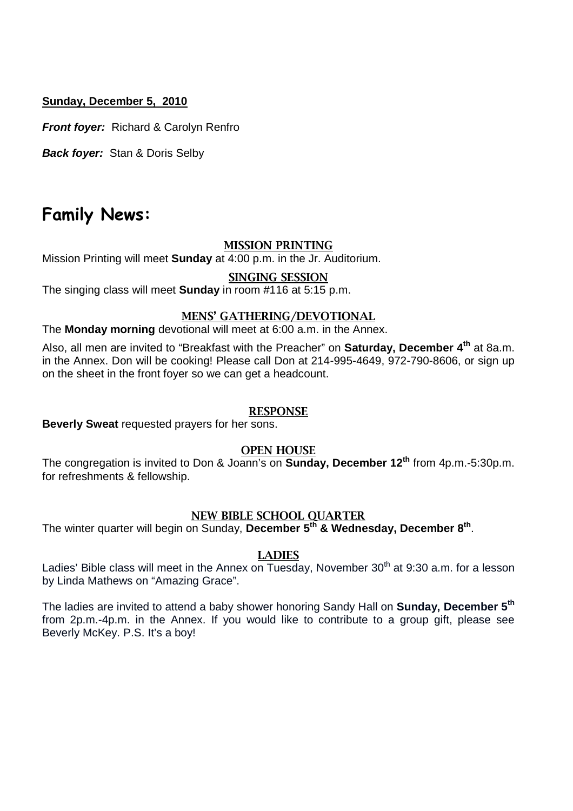# **Sunday, December 5, 2010**

*Front foyer:* Richard & Carolyn Renfro

*Back foyer:* Stan & Doris Selby

# **Family News:**

#### **MISSION PRINTING**

Mission Printing will meet **Sunday** at 4:00 p.m. in the Jr. Auditorium.

#### **SINGING SESSION**

The singing class will meet **Sunday** in room #116 at 5:15 p.m.

#### **MENS' GATHERING/DEVOTIONAL**

The **Monday morning** devotional will meet at 6:00 a.m. in the Annex.

Also, all men are invited to "Breakfast with the Preacher" on **Saturday, December 4th** at 8a.m. in the Annex. Don will be cooking! Please call Don at 214-995-4649, 972-790-8606, or sign up on the sheet in the front foyer so we can get a headcount.

#### **RESPONSE**

**Beverly Sweat** requested prayers for her sons.

# **OPEN HOUSE**

The congregation is invited to Don & Joann's on **Sunday, December 12th** from 4p.m.-5:30p.m. for refreshments & fellowship.

# **NEW BIBLE SCHOOL QUARTER**

The winter quarter will begin on Sunday, **December 5th & Wednesday, December 8th** .

#### **LADIES**

Ladies' Bible class will meet in the Annex on Tuesday, November  $30<sup>th</sup>$  at 9:30 a.m. for a lesson by Linda Mathews on "Amazing Grace".

The ladies are invited to attend a baby shower honoring Sandy Hall on **Sunday, December 5th** from 2p.m.-4p.m. in the Annex. If you would like to contribute to a group gift, please see Beverly McKey. P.S. It's a boy!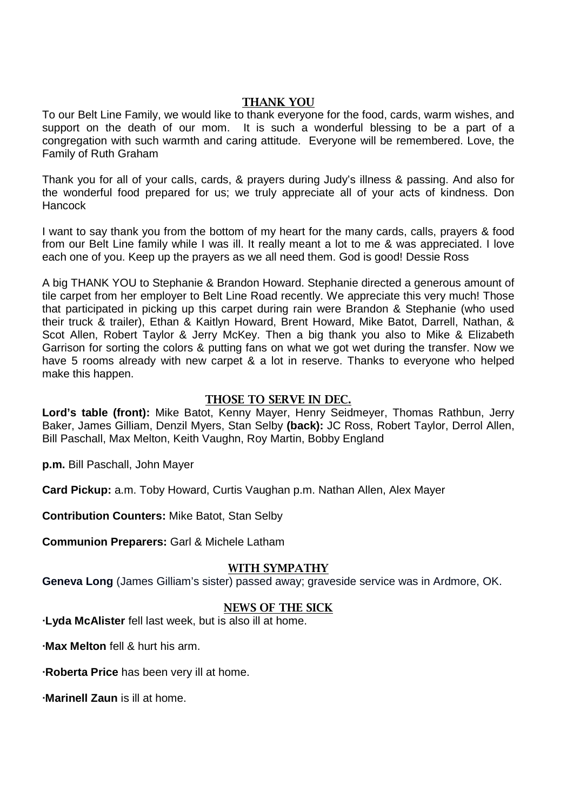# **THANK YOU**

To our Belt Line Family, we would like to thank everyone for the food, cards, warm wishes, and support on the death of our mom. It is such a wonderful blessing to be a part of a congregation with such warmth and caring attitude. Everyone will be remembered. Love, the Family of Ruth Graham

Thank you for all of your calls, cards, & prayers during Judy's illness & passing. And also for the wonderful food prepared for us; we truly appreciate all of your acts of kindness. Don **Hancock** 

I want to say thank you from the bottom of my heart for the many cards, calls, prayers & food from our Belt Line family while I was ill. It really meant a lot to me & was appreciated. I love each one of you. Keep up the prayers as we all need them. God is good! Dessie Ross

A big THANK YOU to Stephanie & Brandon Howard. Stephanie directed a generous amount of tile carpet from her employer to Belt Line Road recently. We appreciate this very much! Those that participated in picking up this carpet during rain were Brandon & Stephanie (who used their truck & trailer), Ethan & Kaitlyn Howard, Brent Howard, Mike Batot, Darrell, Nathan, & Scot Allen, Robert Taylor & Jerry McKey. Then a big thank you also to Mike & Elizabeth Garrison for sorting the colors & putting fans on what we got wet during the transfer. Now we have 5 rooms already with new carpet & a lot in reserve. Thanks to everyone who helped make this happen.

# **THOSE TO SERVE IN DEC.**

**Lord's table (front):** Mike Batot, Kenny Mayer, Henry Seidmeyer, Thomas Rathbun, Jerry Baker, James Gilliam, Denzil Myers, Stan Selby **(back):** JC Ross, Robert Taylor, Derrol Allen, Bill Paschall, Max Melton, Keith Vaughn, Roy Martin, Bobby England

**p.m.** Bill Paschall, John Mayer

**Card Pickup:** a.m. Toby Howard, Curtis Vaughan p.m. Nathan Allen, Alex Mayer

**Contribution Counters:** Mike Batot, Stan Selby

**Communion Preparers:** Garl & Michele Latham

# **WITH SYMPATHY**

**Geneva Long** (James Gilliam's sister) passed away; graveside service was in Ardmore, OK.

### **NEWS OF THE SICK**

**∙Lyda McAlister** fell last week, but is also ill at home.

**∙Max Melton** fell & hurt his arm.

**∙Roberta Price** has been very ill at home.

**∙Marinell Zaun** is ill at home.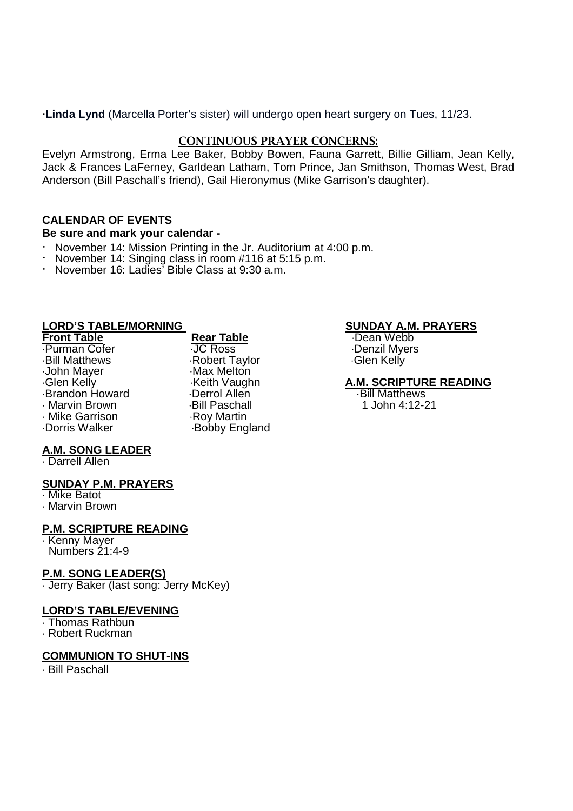**∙Linda Lynd** (Marcella Porter's sister) will undergo open heart surgery on Tues, 11/23.

# **CONTINUOUS PRAYER CONCERNS:**

Evelyn Armstrong, Erma Lee Baker, Bobby Bowen, Fauna Garrett, Billie Gilliam, Jean Kelly, Jack & Frances LaFerney, Garldean Latham, Tom Prince, Jan Smithson, Thomas West, Brad Anderson (Bill Paschall's friend), Gail Hieronymus (Mike Garrison's daughter).

# **CALENDAR OF EVENTS**

### **Be sure and mark your calendar -**

- November 14: Mission Printing in the Jr. Auditorium at 4:00 p.m.
- November 14: Singing class in room #116 at 5:15 p.m.
- · November 16: Ladies' Bible Class at 9:30 a.m.

# **LORD'S TABLE/MORNING**<br> **Rear Table Street Boot Constructed Boot A.M. PRAYERS**<br>
Front Table Street Boot Rear Table

#### **Front Table** Rear Table

Purman Cofer JC Ross Denzil Myers John Mayer Max Melton<br>Glen Kelly May Meth Vaugh Reserved May Brandon Howard **Derrol Allen** Deerrol Allen Bill Matthews Bill Matthews Bill Matthews Controller Bill Paschall Marvin Brown Bill Paschall 1 John 4:12-21 Mike Garrison<br>Dorris Walker

Robert Taylor Keith Vaughn **A.M. SCRIPTURE READING**<br>
Derrol Allen **Bill Matthews** Bobby England

# **A.M. SONG LEADER**

Darrell Allen

### **SUNDAY P.M. PRAYERS**

Mike Batot

Marvin Brown

### **P.M. SCRIPTURE READING**

**Kenny Mayer** Numbers 21:4-9

### **P.M. SONG LEADER(S)**

Jerry Baker (last song: Jerry McKey)

#### **LORD'S TABLE/EVENING**

Thomas Rathbun

Robert Ruckman

### **COMMUNION TO SHUT-INS**

Bill Paschall